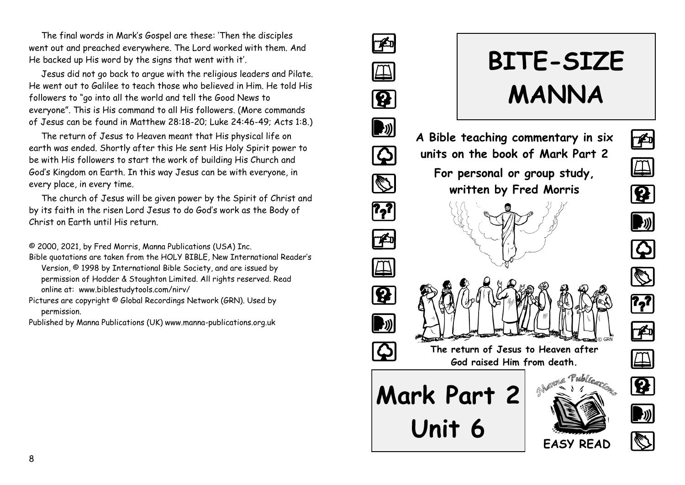The final words in Mark's Gospel are these: 'Then the disciples went out and preached everywhere. The Lord worked with them. And He backed up His word by the signs that went with it'.

Jesus did not go back to argue with the religious leaders and Pilate. He went out to Galilee to teach those who believed in Him. He told His followers to "go into all the world and tell the Good News to everyone". This is His command to all His followers. (More commands of Jesus can be found in Matthew 28:18-20; Luke 24:46-49; Acts 1:8.)

The return of Jesus to Heaven meant that His physical life on earth was ended. Shortly after this He sent His Holy Spirit power to be with His followers to start the work of building His Church and God's Kingdom on Earth. In this way Jesus can be with everyone, in every place, in every time.

The church of Jesus will be given power by the Spirit of Christ and by its faith in the risen Lord Jesus to do God's work as the Body of Christ on Earth until His return.

© 2000, 2021, by Fred Morris, Manna Publications (USA) Inc.

- Bible quotations are taken from the HOLY BIBLE, New International Reader's Version, © 1998 by International Bible Society, and are issued by permission of Hodder & Stoughton Limited. All rights reserved. Read online at: www.biblestudytools.com/nirv/
- Pictures are copyright © Global Recordings Network (GRN). Used by permission.

Published by Manna Publications (UK) www.manna-publications.org.uk



# **BITE-SIZE MANNA**

# **A Bible teaching commentary in six units on the book of Mark Part 2 For personal or group study, written by Fred Morris**



















**EASY READ**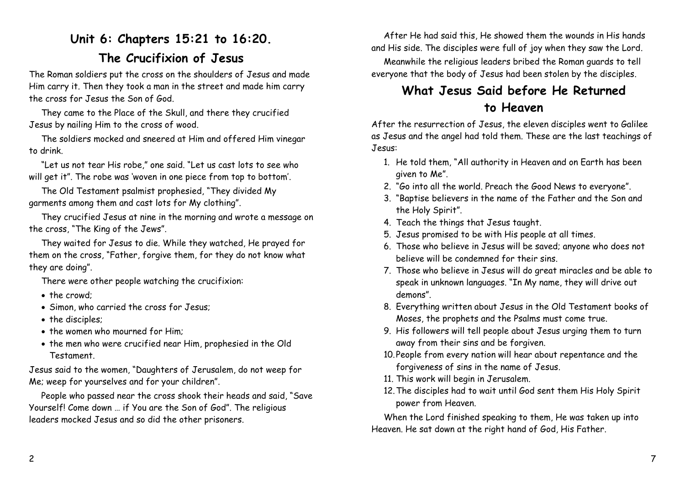# **Unit 6: Chapters 15:21 to 16:20. The Crucifixion of Jesus**

The Roman soldiers put the cross on the shoulders of Jesus and made Him carry it. Then they took a man in the street and made him carry the cross for Jesus the Son of God.

They came to the Place of the Skull, and there they crucified Jesus by nailing Him to the cross of wood.

The soldiers mocked and sneered at Him and offered Him vinegar to drink.

"Let us not tear His robe," one said. "Let us cast lots to see who will get it". The robe was 'woven in one piece from top to bottom'.

The Old Testament psalmist prophesied, "They divided My garments among them and cast lots for My clothing".

They crucified Jesus at nine in the morning and wrote a message on the cross, "The King of the Jews".

They waited for Jesus to die. While they watched, He prayed for them on the cross, "Father, forgive them, for they do not know what they are doing".

There were other people watching the crucifixion:

- the crowd;
- Simon, who carried the cross for Jesus;
- the disciples;
- the women who mourned for Him;
- the men who were crucified near Him, prophesied in the Old Testament.

Jesus said to the women, "Daughters of Jerusalem, do not weep for Me; weep for yourselves and for your children".

People who passed near the cross shook their heads and said, "Save Yourself! Come down … if You are the Son of God". The religious leaders mocked Jesus and so did the other prisoners.

After He had said this, He showed them the wounds in His hands and His side. The disciples were full of joy when they saw the Lord.

Meanwhile the religious leaders bribed the Roman guards to tell everyone that the body of Jesus had been stolen by the disciples.

## **What Jesus Said before He Returned to Heaven**

After the resurrection of Jesus, the eleven disciples went to Galilee as Jesus and the angel had told them. These are the last teachings of Jesus:

- 1. He told them, "All authority in Heaven and on Earth has been given to Me".
- 2. "Go into all the world. Preach the Good News to everyone".
- 3. "Baptise believers in the name of the Father and the Son and the Holy Spirit".
- 4. Teach the things that Jesus taught.
- 5. Jesus promised to be with His people at all times.
- 6. Those who believe in Jesus will be saved; anyone who does not believe will be condemned for their sins.
- 7. Those who believe in Jesus will do great miracles and be able to speak in unknown languages. "In My name, they will drive out demons".
- 8. Everything written about Jesus in the Old Testament books of Moses, the prophets and the Psalms must come true.
- 9. His followers will tell people about Jesus urging them to turn away from their sins and be forgiven.
- 10.People from every nation will hear about repentance and the forgiveness of sins in the name of Jesus.
- 11. This work will begin in Jerusalem.
- 12.The disciples had to wait until God sent them His Holy Spirit power from Heaven.

When the Lord finished speaking to them, He was taken up into Heaven. He sat down at the right hand of God, His Father.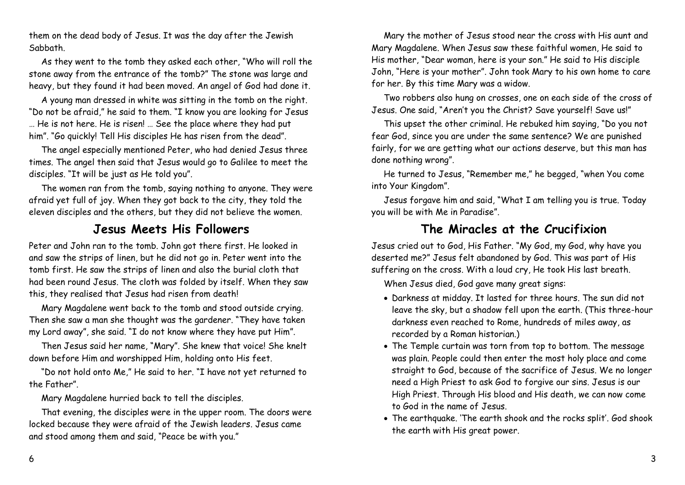them on the dead body of Jesus. It was the day after the Jewish Sabbath.

As they went to the tomb they asked each other, "Who will roll the stone away from the entrance of the tomb?" The stone was large and heavy, but they found it had been moved. An angel of God had done it.

A young man dressed in white was sitting in the tomb on the right. "Do not be afraid," he said to them. "I know you are looking for Jesus … He is not here. He is risen! … See the place where they had put him". "Go quickly! Tell His disciples He has risen from the dead".

The angel especially mentioned Peter, who had denied Jesus three times. The angel then said that Jesus would go to Galilee to meet the disciples. "It will be just as He told you".

The women ran from the tomb, saying nothing to anyone. They were afraid yet full of joy. When they got back to the city, they told the eleven disciples and the others, but they did not believe the women.

#### **Jesus Meets His Followers**

Peter and John ran to the tomb. John got there first. He looked in and saw the strips of linen, but he did not go in. Peter went into the tomb first. He saw the strips of linen and also the burial cloth that had been round Jesus. The cloth was folded by itself. When they saw this, they realised that Jesus had risen from death!

Mary Magdalene went back to the tomb and stood outside crying. Then she saw a man she thought was the gardener. "They have taken my Lord away", she said. "I do not know where they have put Him".

Then Jesus said her name, "Mary". She knew that voice! She knelt down before Him and worshipped Him, holding onto His feet.

"Do not hold onto Me," He said to her. "I have not yet returned to the Father".

Mary Magdalene hurried back to tell the disciples.

That evening, the disciples were in the upper room. The doors were locked because they were afraid of the Jewish leaders. Jesus came and stood among them and said, "Peace be with you."

Mary the mother of Jesus stood near the cross with His aunt and Mary Magdalene. When Jesus saw these faithful women, He said to His mother, "Dear woman, here is your son." He said to His disciple John, "Here is your mother". John took Mary to his own home to care for her. By this time Mary was a widow.

Two robbers also hung on crosses, one on each side of the cross of Jesus. One said, "Aren't you the Christ? Save yourself! Save us!"

This upset the other criminal. He rebuked him saying, "Do you not fear God, since you are under the same sentence? We are punished fairly, for we are getting what our actions deserve, but this man has done nothing wrong".

He turned to Jesus, "Remember me," he begged, "when You come into Your Kingdom".

Jesus forgave him and said, "What I am telling you is true. Today you will be with Me in Paradise".

#### **The Miracles at the Crucifixion**

Jesus cried out to God, His Father. "My God, my God, why have you deserted me?" Jesus felt abandoned by God. This was part of His suffering on the cross. With a loud cry, He took His last breath.

When Jesus died, God gave many great signs:

- Darkness at midday. It lasted for three hours. The sun did not leave the sky, but a shadow fell upon the earth. (This three-hour darkness even reached to Rome, hundreds of miles away, as recorded by a Roman historian.)
- The Temple curtain was torn from top to bottom. The message was plain. People could then enter the most holy place and come straight to God, because of the sacrifice of Jesus. We no longer need a High Priest to ask God to forgive our sins. Jesus is our High Priest. Through His blood and His death, we can now come to God in the name of Jesus.
- The earthquake. 'The earth shook and the rocks split'. God shook the earth with His great power.